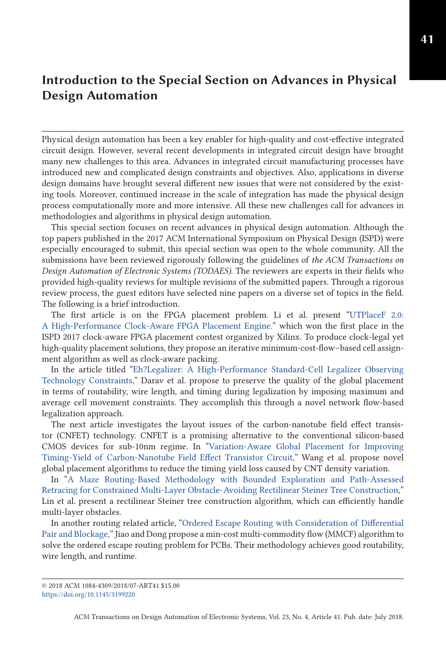## **Introduction to the Special Section on Advances in Physical Design Automation**

Physical design automation has been a key enabler for high-quality and cost-effective integrated circuit design. However, several recent developments in integrated circuit design have brought many new challenges to this area. Advances in integrated circuit manufacturing processes have introduced new and complicated design constraints and objectives. Also, applications in diverse design domains have brought several different new issues that were not considered by the existing tools. Moreover, continued increase in the scale of integration has made the physical design process computationally more and more intensive. All these new challenges call for advances in methodologies and algorithms in physical design automation.

This special section focuses on recent advances in physical design automation. Although the top papers published in the 2017 ACM International Symposium on Physical Design (ISPD) were especially encouraged to submit, this special section was open to the whole community. All the submissions have been reviewed rigorously following the guidelines of *the ACM Transactions on Design Automation of Electronic Systems (TODAES)*. The reviewers are experts in their fields who provided high-quality reviews for multiple revisions of the submitted papers. Through a rigorous review process, the guest editors have selected nine papers on a diverse set of topics in the field. The following is a brief introduction.

The first article is on the FPGA placement problem. Li et al. present "UTPlaceF 2.0: [A High-Performance Clock-Aware FPGA Placement Engine." which won the first place in the](https://doi.org/10.1145/3174849) ISPD 2017 clock-aware FPGA placement contest organized by Xilinx. To produce clock-legal yet high-quality placement solutions, they propose an iterative minimum-cost-flow–based cell assignment algorithm as well as clock-aware packing.

In the article titled "Eh?Legalizer: A High-Performance Standard-Cell Legalizer Observing [Technology Constraints," Darav et al. propose to preserve the quality of the global placement](https://doi.org/10.1145/3158215) in terms of routability, wire length, and timing during legalization by imposing maximum and average cell movement constraints. They accomplish this through a novel network flow-based legalization approach.

The next article investigates the layout issues of the carbon-nanotube field effect transistor (CNFET) technology. CNFET is a promising alternative to the conventional silicon-based [CMOS devices for sub-10nm regime. In "Variation-Aware Global Placement for Improving](https://doi.org/10.1145/3175500) Timing-Yield of Carbon-Nanotube Field Effect Transistor Circuit," Wang et al. propose novel global placement algorithms to reduce the timing yield loss caused by CNT density variation.

In "A Maze Routing-Based Methodology with Bounded Exploration and Path-Assessed [Retracing for Constrained Multi-Layer Obstacle-Avoiding Rectilinear Steiner Tree Construction,"](https://doi.org/10.1145/3177878) Lin et al. present a rectilinear Steiner tree construction algorithm, which can efficiently handle multi-layer obstacles.

[In another routing related article, "Ordered Escape Routing with Consideration of Differential](https://doi.org/10.1145/3185783) Pair and Blockage," Jiao and Dong propose a min-cost multi-commodity flow (MMCF) algorithm to solve the ordered escape routing problem for PCBs. Their methodology achieves good routability, wire length, and runtime.

ACM Transactions on Design Automation of Electronic Systems, Vol. 23, No. 4, Article 41. Pub. date: July 2018.

<sup>© 2018</sup> ACM 1084-4309/2018/07-ART41 \$15.00 <https://doi.org/10.1145/3199220>